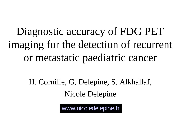# Diagnostic accuracy of FDG PET imaging for the detection of recurrent or metastatic paediatric cancer

H. Cornille, G. Delepine, S. Alkhallaf, Nicole Delepine

[www.nicoledelepine.fr](http://www.nicoledelepine.fr/)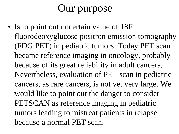# Our purpose

• Is to point out uncertain value of 18F fluorodeoxyglucose positron emission tomography (FDG PET) in pediatric tumors. Today PET scan became reference imaging in oncology, probably because of its great reliability in adult cancers. Nevertheless, evaluation of PET scan in pediatric cancers, as rare cancers, is not yet very large. We would like to point out the danger to consider PETSCAN as reference imaging in pediatric tumors leading to mistreat patients in relapse because a normal PET scan.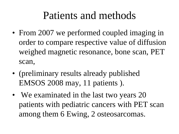#### Patients and methods

- From 2007 we performed coupled imaging in order to compare respective value of diffusion weighed magnetic resonance, bone scan, PET scan,
- (preliminary results already published EMSOS 2008 may, 11 patients ).
- We examinated in the last two years 20 patients with pediatric cancers with PET scan among them 6 Ewing, 2 osteosarcomas.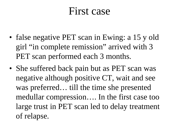#### First case

- false negative PET scan in Ewing: a 15 y old girl "in complete remission" arrived with 3 PET scan performed each 3 months.
- She suffered back pain but as PET scan was negative although positive CT, wait and see was preferred… till the time she presented medullar compression…. In the first case too large trust in PET scan led to delay treatment of relapse.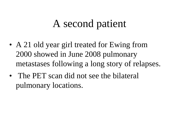# A second patient

- A 21 old year girl treated for Ewing from 2000 showed in June 2008 pulmonary metastases following a long story of relapses.
- The PET scan did not see the bilateral pulmonary locations.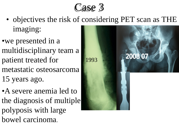

- objectives the risk of considering PET scan as THE imaging:
- •we presented in a multidisciplinary team a patient treated for metastatic osteosarcoma 15 years ago.
- •A severe anemia led to the diagnosis of multiple polyposis with large bowel carcinoma.

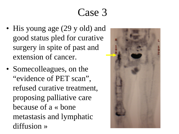### Case 3

- His young age (29 y old) and good status pled for curative surgery in spite of past and extension of cancer.
- Somecolleagues, on the "evidence of PET scan", refused curative treatment, proposing palliative care because of a « bone metastasis and lymphatic diffusion »

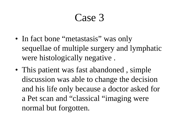## Case 3

- In fact bone "metastasis" was only sequellae of multiple surgery and lymphatic were histologically negative .
- This patient was fast abandoned, simple discussion was able to change the decision and his life only because a doctor asked for a Pet scan and "classical "imaging were normal but forgotten.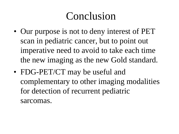## Conclusion

- Our purpose is not to deny interest of PET scan in pediatric cancer, but to point out imperative need to avoid to take each time the new imaging as the new Gold standard.
- FDG-PET/CT may be useful and complementary to other imaging modalities for detection of recurrent pediatric sarcomas.